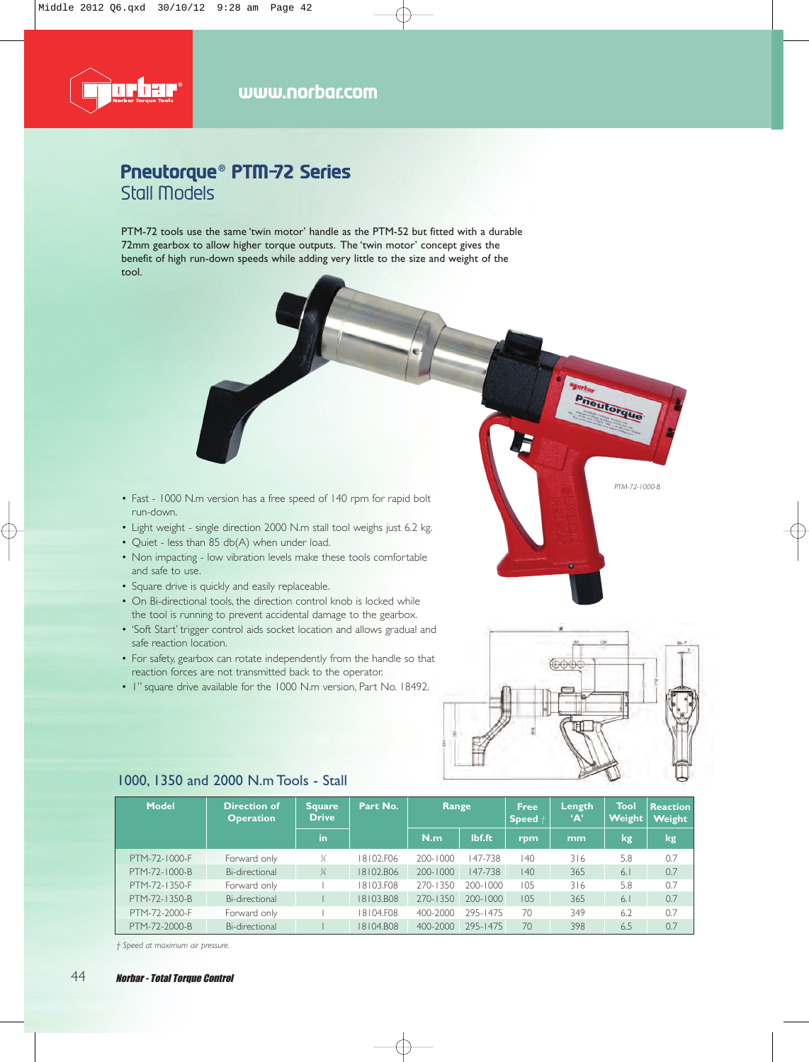

## **Pneutorque® PTM-72 Series** Stall Models

PTM-72 tools use the same 'twin motor' handle as the PTM-52 but fitted with a durable 72mm gearbox to allow higher torque outputs. The 'twin motor' concept gives the benefit of high run-down speeds while adding very little to the size and weight of the tool.

- Fast 1000 N.m version has a free speed of 140 rpm for rapid bolt run-down.
- Light weight single direction 2000 N.m stall tool weighs just 6.2 kg.
- Quiet less than 85 db(A) when under load.
- Non impacting low vibration levels make these tools comfortable and safe to use.
- Square drive is quickly and easily replaceable.
- On Bi-directional tools, the direction control knob is locked while the tool is running to prevent accidental damage to the gearbox.
- 'Soft Start' trigger control aids socket location and allows gradual and safe reaction location.
- For safety, gearbox can rotate independently from the handle so that reaction forces are not transmitted back to the operator.
- 1" square drive available for the 1000 N.m version, Part No. 18492.



*PTM-72-1000-B*

**Turbar**<br>Pheutorque

| <b>Model</b>  | <b>Direction of</b><br><b>Operation</b> | 'Square,<br><b>Drive</b> | Part No.  | Range        |              | <b>Free</b><br>$Speed +$ | Length<br>'A' | Tool<br><b>Weight</b> | <b>Reaction</b><br><b>Weight</b> |
|---------------|-----------------------------------------|--------------------------|-----------|--------------|--------------|--------------------------|---------------|-----------------------|----------------------------------|
|               |                                         | in                       |           | N.m          | lbf.ft       | rpm                      | mm            | kg                    | <b>kg</b>                        |
| PTM-72-1000-F | Forward only                            |                          | 18102.F06 | 200-1000     | 147-738      | 140                      | 316           | 5.8                   | 0.7                              |
| PTM-72-1000-B | Bi-directional                          | $\frac{3}{4}$            | 18102.B06 | $200 - 1000$ | 147-738      | 140                      | 365           | 6.1                   | 0.7                              |
| PTM-72-1350-F | Forward only                            |                          | I8103.F08 | 270-1350     | 200-1000     | 105                      | 316           | 5.8                   | 0.7                              |
| PTM-72-1350-B | Bi-directional                          |                          | 18103.B08 | 270-1350     | $200 - 1000$ | 105                      | 365           | 6.1                   | 0.7                              |
| PTM-72-2000-F | Forward only                            |                          | I8104.F08 | 400-2000     | 295-1475     | 70                       | 349           | 6.2                   | 0.7                              |
| PTM-72-2000-B | Bi-directional                          |                          | I8104.B08 | 400-2000     | 295-1475     | 70                       | 398           | 6.5                   | 0.7                              |

#### 1000, 1350 and 2000 N.m Tools - Stall

*† Speed at maximum air pressure.*